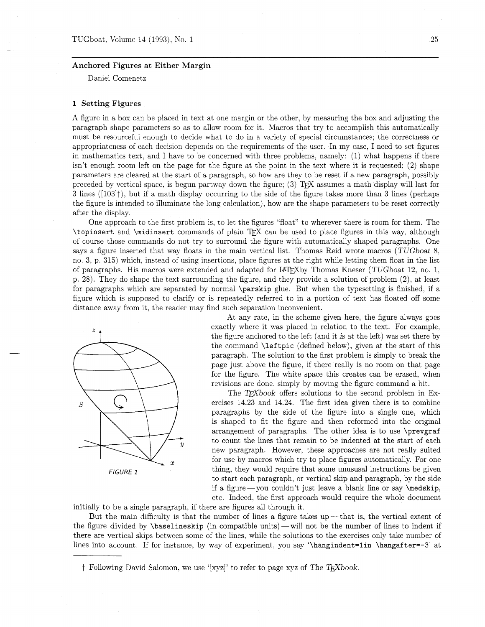## Anchored Figures at Either Margin

Daniel Comenetz

# 1 Setting Figures

A figure in a box can be placed in text at one margin or the other, by measuring the box and adjusting the paragraph shape parameters so as to allow room for it. Macros that try to accomplish this automatically must be resourceful enough to decide what to do in a variety of special circumstances; the correctness or appropriateness of each decision depends on the requirements of the user. In my case, I need to set figures in mathematics text. and I have to be concerned with three problems, namely: (1) what happens if there isn't enough room left on the page for the figure at the point in the text where it is requested; (2) shape parameters are cleared at the start of a paragraph, so how are they to be reset if a new paragraph, possibly preceded by vertical space, is begun partway down the figure; (3) TEX assumes a math display will last for **3** lines ([103]t), but if a math display occurring to the side of the figure takes more than **3** lines (perhaps the figure is intended to illuminate the long calculation), how are the shape parameters to be reset correctly after the display.

One approach to the first problem is, to let the figures "float" to wherever there is room for them. The \topinsert and \midinsert commands of plain TEX can be used to place figures in this way, although of course those commands do not try to surround the figure with automatically shaped paragraphs. One says a figure inserted that way floats in the main vertical list. Thomas Reid wrote macros (TUGboat 8, no. 3, p. 315) which, instead of using insertions, place figures at the right while letting them float in the list of paragraphs. His macros were extended and adapted for LAT<sub>F</sub>Xby Thomas Kneser (TUGboat 12, no. 1, p. 28). They do shape the text surrounding the figure, and they provide a solution of problem (2), at least for paragraphs which are separated by normal \parskip glue. But when the typesetting is finished, if a figure which is supposed to clarify or is repeatedly referred to in a portion of text has floated off some distance away from it, the reader may find such separation inconvenient.



At any rate, in the scheme given here, the figure always goes exactly where it was placed in relation to the text. For example, the figure anchored to the left (and it is at the left) was set there by the command \lef tpic (defined below), given at the start of this paragraph. The solution to the first problem is simply to break the page just above the figure. if there really is no room on that page for the figure. The white space this creates can be erased, when revisions are done, simply by moving the figure command a bit.

The T<sub>F</sub>Xbook offers solutions to the second problem in Exercises 14.23 and 14.24. The first idea given there is to combine paragraphs by the side of the figure into a single one, which is shaped to fit the figure and then reformed into the original arrangement of paragraphs. The other idea is to use \prevgraf  $\tilde{y}$  to count the lines that remain to be indented at the start of each new paragraph. However, these approaches are not really suited for use by macros which try to place figures automatically. For one FIGURE 1 thing, they would require that some unususal instructions be given to start each paragraph, or vertical skip and paragraph, by the side if a figure-you couldn't just leave a blank line or say  $\backslash$ medskip, etc. Indeed, the first approach would require the whole document

initially to be a single paragraph, if there are figures all through it.

But the main difficulty is that the number of lines a figure takes up—that is, the vertical extent of the figure divided by  $\baselineskip(1em|$  (in compatible units) — will not be the number of lines to indent if there are vertical skips between some of the lines, while the solutions to the exercises only take number of lines into account. If for instance, by way of experiment, you say '\hangindent=1in \hangafter=-3' at

 $\dagger$  Following David Salomon, we use '[xyz]' to refer to page xyz of The TEXbook.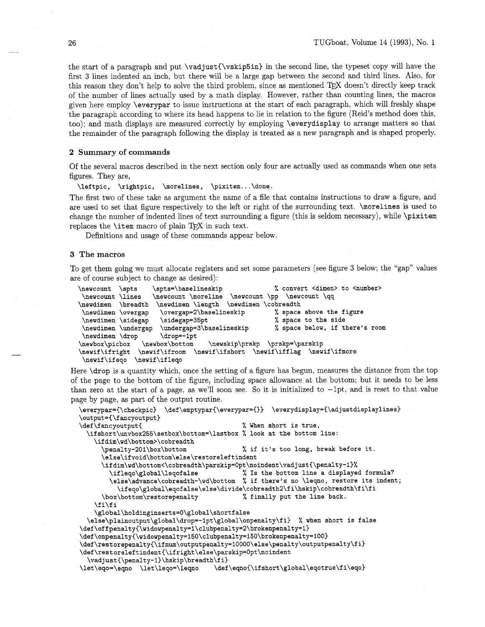the start of a paragraph and put **\vadjust(\vskip5in)** in the second line, the typeset copy will have the first **3** lines indented an inch, but there will be a large gap between the second and third lines. Also, for this reason they don't help to solve the third problem, since as mentioned TEX doesn't directly keep track of the number of lines actually used by a math display. However, rather than counting lines, the macros given here employ **\everypar** to issue instructions at the start of each paragraph, which will freshly shape the paragraph according to where its head happens to lie in relation to the figure (Reid's method does this, too); and math displays are measured correctly by employing **\everydisplay** to arrange matters so that the remainder of the paragraph following the display is treated as a new paragraph and is shaped properly.

## 2 Summary of commands

Of the several macros described in the next section only four are actually used as commands when one sets figures. They are,

**\leftpic, \rightpic, \morelines, \pixitem.** . . **\done.** 

The first two of these take as argument the name of a file that contains instructions to draw a figure, and are used to set that figure respectively to the left or right of the surrounding text. **\morelines** is used to change the number of indented lines of text surrounding a figure (this is seldom necessary), while **\pixitem**  replaces the  $\iota$  tem macro of plain T<sub>E</sub>X in such text.

Definitions and usage of these commands appear below.

## 3 **The** macros

To get them going we must allocate registers and set some parameters (see figure **3** below; the "gap" values are of course subject to change as desired):

```
\newcount \spts \spts=\baselineskip % convert <dimen> to <number> 
  \newcount \lines \newcount \moreline \newcount \pp \newcount \qq 
\newdimen \breadth \newdimen \length \newdimen \cobreadth \newdimen \overgap=2\baselineskip % space
                                       \newdimen \overgap \overgap=2\baselineskip % space above the figure 
 \newdimen \sidegap \sidegap=35pt % space to the side 
 \newdimen \undergap \undergap=3\baselineskip % space below, if there's room 
 \newdimen \drop
                                        \drop=-1pt
                                                               \verb|\newskip| \preccurlyeq |\preccurlyeq |\preccurlyeq |\preccurlyeq |\preccurlyeq |\preccurlyeq |\preccurlyeq |\preccurlyeq |\preccurlyeq |\preccurlyeq |\preccurlyeq |\preccurlyeq |\preccurlyeq |\preccurlyeq |\preccurlyeq |\preccurlyeq |\preccurlyeq |\preccurlyeq |\preccurlyeq |\preccurlyeq |\preccurlyeq |\preccurlyeq |\preccurlyeq |\preccurlyeq |\preccurlyeq |\preccurlyeq |\preccurlyeq |\preccurlyeq |\preccurlyeq |\preccurlyeq |\preccurlyeq |\preccurlyeq |\preccurlyeq |\preccurlyeq |\preccurlyeq |\preccur\newbox\bottom
\newbox\picbox
\newif\ifright
                            \newif\ifroom \newif\ifshort \newif\ifflag \newif\ifmore
  \newif\ifeqo
                          \newif\ifleqo
```
Here **\drop** is a quantity which, once the setting of a figure has begun, measures the distance from the top of the page to the bottom of the figure, including space allowance at the bottom; but it needs to be less than zero at the start of a page, as we'll soon see. So it is initialized to  $-\text{1pt}$ , and is reset to that value page by page, as part of the output routine.

```
\everypar={\checkpic} \def\emptypar{\everypar={}} \everydisplay={\adjustdisplaylines}
\output=C\fancyoutput~ 
\def\fancyoutput{ \% When short is true,
 \ifshort\unvbox255\setbox\bottom=\lastbox % look at the bottom line: 
   \if dim\wd\bottom>\cobreadth 
     \penalty-20l\box\bottom % if it's too long, break before it. 
     \else\ifvoid\bottom\else\restoreleftindent 
     \ifdim\wd\bottom<\cobreadth\parskip=0pt\noindent\vadjust{\penalty-l)% 
       \ifleqo\global\leqofalse % Is the bottom line a displayed formula? 
       \else\advance\cobreadth-\wd\bottom % if there's no \leqno, restore its indent; 
          \ifeqo\global\eqofalse\else\divide\cobreadth2\fi\hskip\cobreadth\fi\fi 
     \box\bottom\restorepenalty % finally put the line back. 
   \f i\f i 
   \global\holdinginserts=0\global\shortfalse 
 \else\plainoutput\global\drop=-lpt\global\onpenalty\fi % when short is false 
\def\offpenalty~\wido~enalty=l\clubpenalty=2\brokenpenalty=1) 
\def\onpenalty€\widowpenalty=150\clubpenalty=15O\brokenpenalty=lOO~ 
\def\re~torepenalty(\ifnum\outputpenalty=lOOOO\else\penalty\outputpenalty\fi) 
\def\restoreleftindent{\ifright\else\parskip=Opt\noindent 
  \vadjust<\penalty-l)\hskip\breadth\fi) 
\let\eqo=\eqno \let\leqo=\leqno \def\eqnoC\ifshort\global\eqotrue\fi\eqo~
```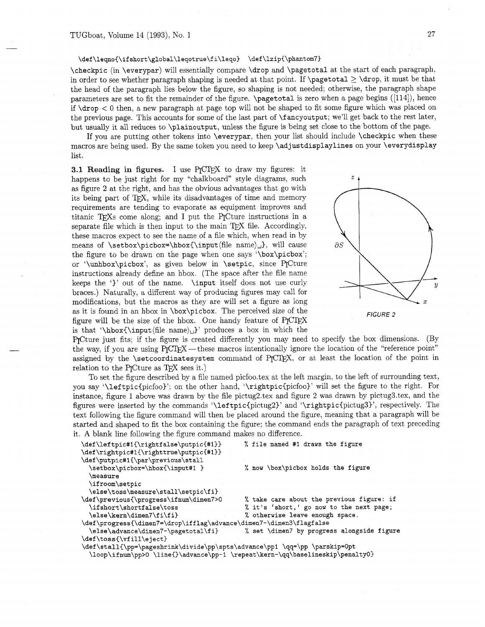### \def\leqno{\ifshort\global\leqotrue\fi\leqo} \def\lzip{\phantom7}

\checkpic (in \everypar) will essentially compare \drop and \pagetotal at the start of each paragraph. in order to see whether paragraph shaping is needed at that point. If  $\text{log}(12) \drop$ , it must be that the head of the paragraph lies below the figure, so shaping is not needed; otherwise, the paragraph shape parameters are set to fit the remainder of the figure. \pagetotal is zero when a page begins ([114]), hence if  $\dagger$  drop  $\lt 0$  then, a new paragraph at page top will not be shaped to fit some figure which was placed on the previous page. This accounts for some of the last part of **\f** ancyoutput; we'll get back to the rest later, but usually it all reduces to \plainoutput, unless the figure is being set close to the bottom of the page.

If you are putting other tokens into \everypar, then your list should include \checkpic when these macros are being used. By the same token you need to keep \adjustdisplaylines on your \everydisplay list.

**3.1 Reading in figures.** I use P<sub>I</sub>CT<sub>F</sub>X to draw my figures: it happens to be just right for my "chalkboard" style diagrams, such  $z$ as figure 2 at the right, and has the obvious advantages that go with its being part of TEX, while its disadvantages of time and memory requirements are tending to evaporate as equipment improves and titanic TEXs come along; and I put the PICture instructions in a separate file which is then input to the main TFX file. Accordingly, these macros expect to see the name of a file which, when read in by means of \setbox\picbox=\hbox{\input(file name)u}, will cause the figure to be drawn on the page when one says '\box\picbox'; or '\unhbox\picbox', as given below in \setpic, since P<sub>I</sub>Cture instructions already define an hbox. (The space after the file name keeps the ')' out of the name. \input itself does not use curly braces.) Naturally, a different way of producing figures may call for modifications, but the macros as they are will set a figure as long<br>as it is found in an hbox in  $\boxtimes\$ ricbox. The perceived size of the<br>figure will be the size of the hbox. One handy feature of PJCTEX<br>is that  $\Delta$ hbox $\Delta$ as it is found in an hbox in  $\boxtimes\$ ricbox. The perceived size of the FIGURE 2<br>figure will be the size of the hbox. One handy feature of P<sub>IC</sub>I<sub>F</sub>X is that '\hbox{\input(file name) $\cup$ }' produces a box in which the



PrCture just fits; if the figure is created differently you may need to specify the box dimensions. (By the way, if you are using  $P_{\rm I}$   $C_{\rm I}$   $E_{\rm I}$  these macros intentionally ignore the location of the "reference point" P<sub>I</sub>Cture just fits; if the figure is created differently you may need to specify the box dimensions. (By the way, if you are using P<sub>I</sub>CT<sub>E</sub>X — these macros intentionally ignore the location of the "reference point" assi assigned by the \setcoordinatesystem command of P<sub>I</sub>CI<sub>E</sub>X, or at least the location of the point in relation to the P<sub>IC</sub> ture as T<sub>F</sub>X sees it.)

To set the figure described by a file named picfoo.tex at the left margin, to the left of surrounding text, you say '\leftpic{picfoo)': on the other hand, '\rightpic{picfoo)' will set the figure to the right. For instance, figure 1 above was drawn by the file pictug2.tex and figure 2 was drawn by pictug3.tex, and the figures were inserted by the commands '\leftpic{pictug2)' and '\rightpic{pictug3)', respectively. The text following the figure command will then be placed around the figure, meaning that a paragraph will be started and shaped to fit the box containing the figure; the command ends the paragraph of text preceding it. A blank line following the figure command makes no difference.

| \def\leftpic#1{\rightfalse\putpic{#1}}                                        | % file named #1 draws the figure           |
|-------------------------------------------------------------------------------|--------------------------------------------|
| \def\rightpic#1{\righttrue\putpic{#1}}                                        |                                            |
| \def\putpic#1{\par\previous\stall                                             |                                            |
| \setbox\picbox=\hbox{\input#1 }                                               | % now \box\picbox holds the figure         |
| <b>\measure</b>                                                               |                                            |
| \ifroom\setpic                                                                |                                            |
| \else\toss\measure\stall\setpic\fi}                                           |                                            |
| \def\previous{\progress\ifnum\dimen7>0                                        | % take care about the previous figure: if  |
| \ifshort\shortfalse\toss                                                      | % it's 'short,' go now to the next page;   |
| \else\kern\dimen7\fi\fi}                                                      | % otherwise leave enough space.            |
| \def\progress{\dimen7=\drop\ifflag\advance\dimen7-\dimen3\flagfalse           |                                            |
| \else\advance\dimen7-\pagetotal\fi}                                           | % set \dimen7 by progress alongside figure |
| \def\toss{\vfill\eject}                                                       |                                            |
| \def\stall{\pp=\pageshrink\divide\pp\spts\advance\pp1 \qq=\pp \parskip=0pt    |                                            |
| \loop\ifnum\pp>0 \line{}\advance\pp-1 \repeat\kern-\qq\baselineskip\penalty0} |                                            |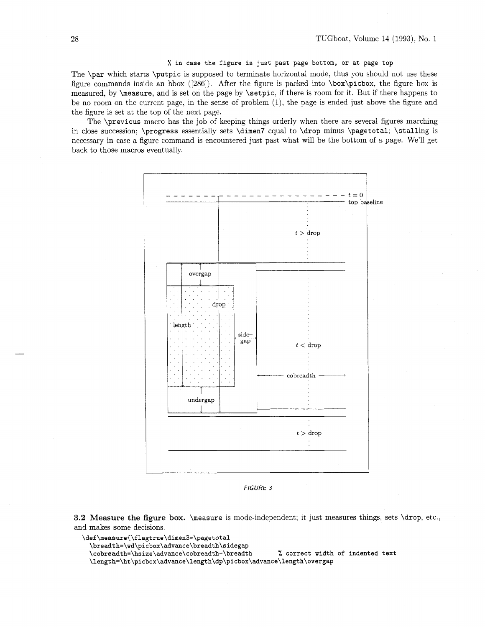## % **in case the figure is just past page bottom, or at page top**

The \par which starts \putpic is supposed to terminate horizontal mode, thus you should not use these figure commands inside an hbox ([286]). After the figure is packed into \box\picbox, the figure box is measured, by **\measure**, and is set on the page by **\setpic**, if there is room for it. But if there happens to be no room on the current page, in the sense of problem (I), the page is ended just above the figure and the figure is set at the top of the next page.

The \previous macro has the job of keeping things orderly when there are several figures marching in close succession; \progress essentially sets \dimen7 equal to \drop minus \pagetotal; \stalling is necessary in case a figure command is encountered just past what will be the bottom of a page. We'll get back to those macros eventually.



FIGURE *3* 

**3.2 Measure** the **figure** box. \measure is mode-independent; it just measures things, sets \drop, etc., and makes some decisions.

```
\def\measure{\flagtrue\dimen3=\pagetotal
 \breadth=\wd\picbox\advance\breadth\sidegap 
 \cobreadth=\hsize\advance\cobreadth-\breadth % correct width of indented text 
 \length=\ht\picbox\advance\length\dp\picbox\advance\length\overgap
```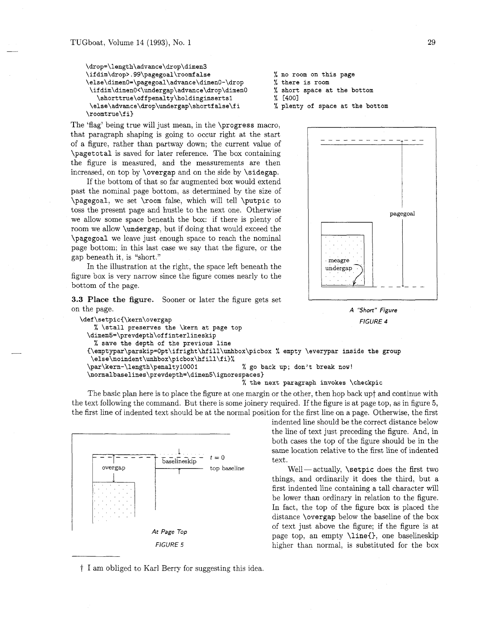```
\drop=\length\advance\drop\dimen3 
\ifdim\drop>.99\pagegoal\roomfalse % no room on this page 
\else\dimenO=\pagegoal\advance\dimen0-\drop % there is room 
\ifdim\dimen0~\undergap\advance\drop\dimenO % short space at the bottom 
  \shorttrue\offpenalty\holdinginserts1 % [400]
\else\advance\drop\undergap\shortf alse\f i % plenty of space at the bottom 
\roomtrue\fi)
```
The 'flag' being true will just mean, in the \progress macro, that paragraph shaping is going to occur right at the start of a figure, rather than partway down; the current value of \pagetotal is saved for later reference. The box containing the figure is measured, and the measurements are then increased, on top by \overgap and on the side by \sidegap.

If the bottom of that so far augmented box would extend past the nominal page bottom, as determined by the size of \pagegoal, we set \room false, which will tell \putpic to toss the present page and hustle to the next one. Otherwise we allow some space beneath the box: if there is plenty of room we allow \undergap, but if doing that would exceed the \pagegoal we leave just enough space to reach the nominal page bottom; in this last case we say that the figure, or the gap beneath it, is "short."

In the illustration at the right, the space left beneath the figure box is very narrow since the figure comes nearly to the bottom of the page.

**3.3 Place the figure.** Sooner or later the figure gets set on the page.

```
\def\setpicC\kern\overgap 
   % \stall preserves the \kern at page top 
  \dimen5=\prevdepth\offinterlineskip 
   % save the depth of the previous line 
                                                                            FIGURE 4 
  ~\em~t~~ar\~arski~=~~t\ifr~~ht\hfill\unhox\~icbox % empty \everypar inside the group 
   \else\noindent\unhbox\picbox\hfill\fi)% 
  \par\kern-\length\penalty10001 % go back up; don't break now! 
  \normalbaselines\prevdepth=\dimen5\ignorespaces) 
                                            "/, the next paragraph invokes \checkpic
```
The basic plan here is to place the figure at one margin or the other, then hop back upt and continue with the text following the command. But there is some joinery required. If the figure is at page top, as in figure *5,*  the first line of indented text should be at the normal position for the first line on a page. Otherwise, the first









indented line should be the correct distance below the line of text just preceding the figure. And, in both cases the top of the figure should be in the same location relative to the first line of indented text.

 $Well—actually, \setpic does the first two$ things, and ordinarily it does the third, but a first indented line containing a tall character will be lower than ordinary in relation to the figure. In fact, the top of the figure box is placed the distance \overgap below the baseline of the box of text just above the figure; if the figure is at page top, an empty **\line{}**, one baselineskip higher than normal, is substituted for the box

t I am obliged to Karl Berry for suggesting this idea.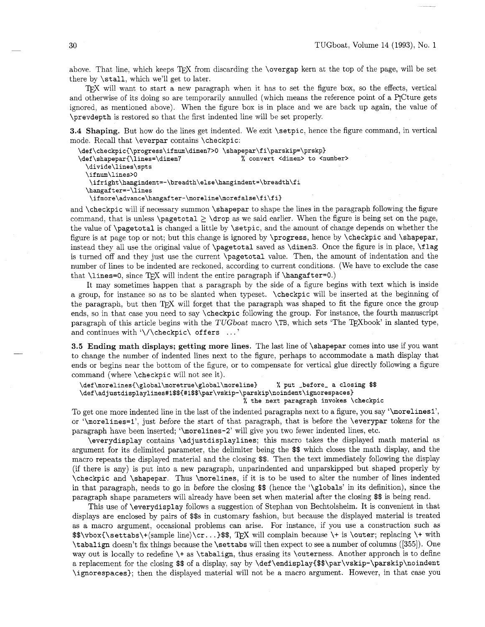above. That line, which keeps TEX from discarding the \overgap kern at the top of the page, will be set there by \stall. which we'll get to later.

TFX will want to start a new paragraph when it has to set the figure box, so the effects, vertical and otherwise of its doing so are temporarily annulled (which means the reference point of a P<sub>I</sub>Cture gets ignored, as mentioned above). When the figure box is in place and we are back up again, the value of \prevdepth is restored so that the first indented line will be set properly.

**3.4 Shaping.** But how do the lines get indented. We exit **\setpic**, hence the figure command, in vertical mode. Recall that \everpar contains \checkpic:

```
\def\checkpicI\progress\ifnum\dimen7>0 \shapepar\fi\parskip=\prskp) 
\def\shapepar{\lines=\dimen7 % convert <dimen> to <number>
  \divide\lines\spts 
  \if num\lines>O 
   \if right\hangindent=-\breadth\else\hangindent=\breadth\f i 
  \hangafter=-\lines 
   \ifmore\advance\hangafter-\moreline\morefalse\fi\fi)
```
and \checkpic will if necessary summon \shapepar to shape the lines in the paragraph following the figure command, that is unless \pagetotal  $\geq$  \drop as we said earlier. When the figure is being set on the page, the value of \pagetotal is changed a little by \setpic, and the amount of change depends on whether the figure is at page top or not; but this change is ignored by \progress, hence by \checkpic and \shapepar, instead they all use the original value of \pagetotal saved as \dimen3. Once the figure is in place, \flag is turned off and they just use the current \pagetotal value. Then, the amount of indentation and the number of lines to be indented are reckoned, according to current conditions. (We have to exclude the case that \lines=0, since TEX will indent the entire paragraph if \hangafter=0.)

It may sometimes happen that a paragraph by the side of a figure begins with text which is inside a group, for instance so as to be slanted when typeset. \checkpic will be inserted at the beginning of the paragraph, but then TEX will forget that the paragraph was shaped to fit the figure once the group ends, so in that case you need to say \checkpic following the group. For instance, the fourth manuscript paragraph of this article begins with the TUGboat macro **\TB**, which sets 'The TEXbook' in slanted type, and continues with  $\setminus/\lambda$ checkpic $\setminus$  offers ...'

**3.5 Ending math displays; getting more lines.** The last line of \shapepar comes into use if you want to change the number of indented lines next to the figure, perhaps to accommodate a math display that ends or begins near the bottom of the figure, or to compensate for vertical glue directly following a figure command (where \checkpic will not see it).

```
\def \morelines{\global\moretrue\global\moreline) % put -before- a closing $$ 
\def\adjustdisplaylines#1$${#1$$\par\vskip-\parskip\noindent\ignorespaces}
                                            % the next paragraph invokes \checkpic
```
To get one more indented line in the last of the indented paragraphs next to a figure, you say '\morelinesl', or '\morelines=I1, just before the start of that paragraph, that is before the \everypar tokens for the paragraph have been inserted; '\morelines-2' will give you two fewer indented lines, etc.

\everydisplay contains \adjustdisplaylines; this macro takes the displayed math material as argument for its delimited parameter, the delimiter being the \$\$ which closes the math display, and the macro repeats the displayed material and the closing \$\$. Then the text immediately following the display (if there is any) is put into a new paragraph, unparindented and unparskipped but shaped properly by \checkpic and \shapepar. Thus \morelines, if it is to be used to alter the number of lines indented in that paragraph, needs to go in before the closing \$\$ (hence the '\globals' in its definition), since the paragraph shape parameters will already have been set when material after the closing \$\$ is being read.

This use of \everydisplay follows a suggestion of Stephan von Bechtolsheim. It is convenient in that displays are enclosed by pairs of \$\$s in customary fashion, but because the displayed material is treated as a macro argument, occasional problems can arise. For instance, if you use a construction such as  $\allowbreak$  \$\$\vbox{\settabs\+(sample line)\cr...}\$\$, TFX will complain because \+ is \outer; replacing \+ with \tabalign doesn't fix things because the \settabs will then expect to see a number of columns ([355]). One way out is locally to redefine \+ as \tabalign, thus erasing its \outerness. Another approach is to define a replacement for the closing \$\$ of a display, say by \def **\endisplay{\$\$\par\vskip-\parskip\noindent**  \ignorespaces); then the displayed material will not be a macro argument. However, in that case you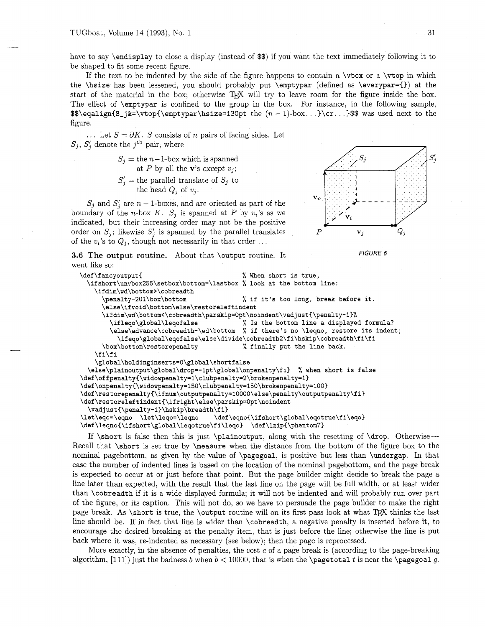have to say \endisplay to close a display (instead of \$\$) if you want the text immediately following it to be shaped to fit some recent figure.

If the text to be indented by the side of the figure happens to contain a  $\forall$ box or a  $\forall$ top in which the \hsize has been lessened, you should probably put \emptypar (defined as \everypar={)) at the start of the material in the box; otherwise TFX will try to leave room for the figure inside the box. The effect of \emptypar is confined to the group in the box. For instance, in the following sample,  $\$ \eqalign{S<sub>-j&</sub>=\vtop{\emptypar\hsize=130pt the  $(n - 1)$ -box...}\cr...}\$\$ was used next to the figure.

... Let  $S = \partial K$ . *S* consists of *n* pairs of facing sides. Let  $S_j$ ,  $S'_i$  denote the j<sup>th</sup> pair, where

> $S_j =$  the  $n-1$ -box which is spanned at P by all the **v**'s except  $v_j$ ;

 $S'_{j}$  = the parallel translate of  $S_{j}$  to the head  $Q_j$  of  $v_j$ .

 $S_j$  and  $S'_j$  are  $n-1$ -boxes, and are oriented as part of the boundary of the n-box K.  $S_j$  is spanned at P by  $v_i$ 's as we indicated, but their increasing order may not be the positive order on  $S_j$ ; likewise  $S'_j$  is spanned by the parallel translates  $P$  v<sub>j</sub>  $Q_j$ of the  $v_i$ 's to  $Q_i$ , though not necessarily in that order ...





**3.6 The output routine.** About that \output routine. It FIGURE 6 went like so:

```
\def\fancyoutput{ \% When short is true,
 \ifshort\unvbox255\setbox\bottom=\lastbox % look at the bottom line: 
   \ifdim\wd\bottom>\cobreadth 
      \penalty-20l\box\bottom % if it's too long, break before it. 
      \else\ifvoid\bottom\else\restoreleftindent 
      \ifdim\wd\bottom<\cobreadth\parskip=0pt\noindent\vadjust{\penalty-1}%
        \if leqo\global\leqof alse % Is the bottom line a displayed formula? 
        \else\advance\cobreadth-\wd\bottom % if there's no \leqno, restore its indent; 
          \ifeqo\global\eqofalse\else\divide\cobreadth2\fi\hskip\cobreadth\fi\fi 
      \box\bottom\restorepenalty % finally put the line back. 
    \f i\f i 
    \global\holdinginserts=0\global\shortfalse 
  \else\plainoutput\global\drop=-lpt\global\onpenalty\fi % when short is false 
\def\offpenalty{\widowpenalty=1\clubpenalty=2\brokenpenalty=1}
\def\onpenalty~\widovpenalty=150\clubpenalty=l5O\brokenpenalty=100~ 
\def\restorepenalty{\ifnum\outputpenalty=10000\else\penalty\outputpenalty\fi}<br>\def\restoreleftindent{\ifright\else\parskip=0pt\noindent
  \vadjust{\penalty-1}\hskip\breadth\fi}
\let\eqo=\eqno \let\leqo=\leqno
                                    \def\eqno{\ifshort\global\eqotrue\fi\eqo}
\def\leqno{\ifshort\global\leqotrue\fi\leqo} \def\lzip{\phantom7}
```
If  $\shortparallel$  is false then this is just  $\phi$  the investory, along with the resetting of  $\drop$ . Otherwise-Recall that \short is set true by \measure when the distance from the bottom of the figure box to the nominal pagebottom, as given by the value of \pagegoal, is positive but less than \undergap. In that case the number of indented lines is based on the location of the nominal pagebottom, and the page break is expected to occur at or just before that point. But the page builder might decide to break the page a line later than expected, with the result that the last line on the page will be full width, or at least wider than \cobreadth if it is a wide displayed formula; it will not be indented and will probably run over part of the figure, or its caption. This will not do, so we have to persuade the page builder to make the right page break. As \short is true, the \output routine will on its first pass look at what *QjX* thinks the last line should be. If in fact that line is wider than \cobreadth, a negative penalty is inserted before it, to encourage the desired breaking at the penalty item, that is just before the line; otherwise the line is put back where it was, re-indented as necessary (see below); then the page is reprocessed.

More exactly, in the absence of penalties, the cost  $c$  of a page break is (according to the page-breaking algorithm, [111]) just the badness b when  $b < 10000$ , that is when the **\pagetotal** t is near the **\pagegoal** g.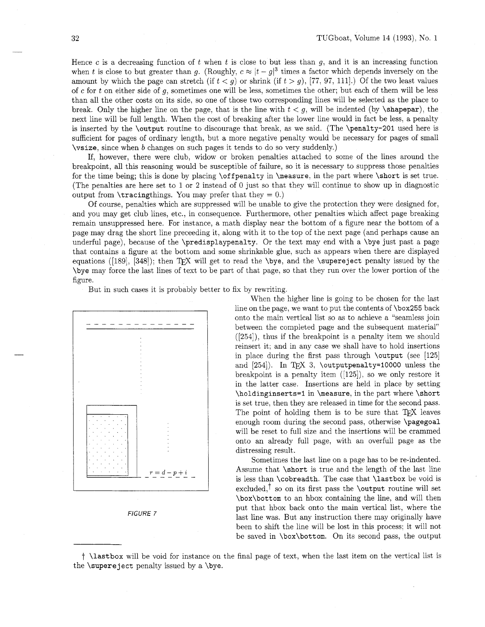Hence c is a decreasing function of  $t$  when  $t$  is close to but less than  $g$ , and it is an increasing function when t is close to but greater than g. (Roughly,  $c \approx |t - g|^3$  times a factor which depends inversely on the amount by which the page can stretch (if  $t < g$ ) or shrink (if  $t > g$ ), [77, 97, 111].) Of the two least values of c for t on either side of g, sometimes one will be less, sometimes the other; but each of them will be less than all the other costs on its side, so one of those two corresponding lines will be selected as the place to break. Only the higher line on the page, that is the line with  $t < g$ , will be indented (by \shapepar), the next line will be full length. When the cost of breaking after the lower line would in fact be less, a penalty is inserted by the \output routine to discourage that break, as we said. (The \penalty-201 used here is sufficient for pages of ordinary length, but a more negative penalty would be necessary for pages of small \vsize, since when b changes on such pages it tends to do so very suddenly.)

If, however, there were club, widow or broken penalties attached to some of the lines around the breakpoint, all this reasoning would be susceptible of failure, so it is necessary to suppress those penalties for the time being; this is done by placing \offpenalty in \measure, in the part where \short is set true. (The penalties are here set to 1 or 2 instead of 0 just so that they will continue to show up in diagnostic output from  $\text{tracingthings}$ . You may prefer that they = 0.)

Of course, penalties which are suppressed will be unable to give the protection they were designed for, and you may get club lines, etc., in consequence. Furthermore, other penalties which affect page breaking remain unsuppressed here. For instance, a math display near the bottom of a figure near the bottom of a page may drag the short line preceeding it, along with it to the top of the next page (and perhaps cause an underful page), because of the \predisplaypenalty. Or the text may end with a \bye just past a page that contains a figure at the bottom and some shrinkable glue, such as appears when there are displayed equations ([189], [348]); then TEX will get to read the  $\begin{bmatrix} \text{super}\end{bmatrix}$  penalty issued by the \bye may force the last lines of text to be part of that page, so that they run over the lower portion of the figure.

But in such cases it is probably better to fix by rewriting.





When the higher line is going to be chosen for the last line on the page, we want to put the contents of \box255 back onto the main vertical list so as to achieve a "seamless join between the completed page and the subsequent material" ([254]), thus if the breakpoint is a penalty item we should reinsert it; and in any case we shall have to hold insertions in place during the first pass through  $\out$  (see [125] and  $[254]$ ). In TEX 3, \outputpenalty=10000 unless the breakpoint is a penalty item ([125]), so we only restore it in the latter case. Insertions are held in place by setting \holdinginserts=l in \measure. in the part where \short is set true, then they are released in time for the second pass. The point of holding them is to be sure that  $T_F X$  leaves enough room during the second pass, otherwise \pagegoal will be reset to full size and the insertions will be crammed onto an already full page, with an overfull page as the distressing result.

Sometimes the last line on a page has to be re-indented. Assume that \short is true and the length of the last line is less than \cobreadth. The case that \lastbox be void is excluded,<sup> $\dagger$ </sup> so on its first pass the \output routine will set \box\bottom to an hbox containing the line, and will then put that hbox back onto the main vertical list, where the last line was. But any instruction there may originally have been to shift the line will be lost in this process; it will not be saved in \box\bottom. On its second pass, the output

t \lastbox will be void for instance on the final page of text, when the last item on the vertical list is the \supereject penalty issued by a \bye.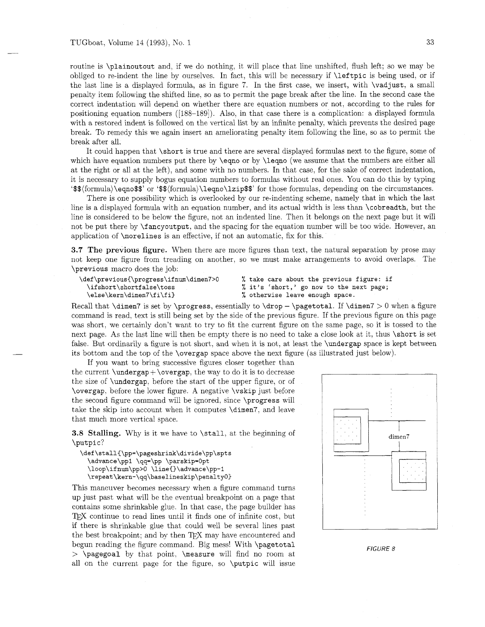## TUGboat, Volume 14 (1993), No. 1  $33$

correct indentation will depend on whether there are equation numbers or not, according to the rules for positioning equation numbers ([188-1891). Also, in that case there is a complication: a displayed formula with a restored indent is followed on the vertical list by an infinite penalty, which prevents the desired page break. To remedy this we again insert an ameliorating penalty item following the line, so **as** to permit the break after all.

It could happen that \short is true and there are several displayed formulas next to the figure, some of which have equation numbers put there by \eqno or by \leqno (we assume that the numbers are either all at the right or all at the left), and some with no numbers. In that case, for the sake of correct indentation, it is necessary to supply bogus equation numbers to formulas without real ones. You can do this by typing '\$\$(formula)\eqno\$\$' or '\$\$(formula)\leqno\lzip\$\$' for those formulas, depending on the circumstances.

There is one possibility which is overlooked by our re-indenting scheme, namely that in which the last line is a displayed formula with an equation number, and its actual width is less than \cobreadth. but the line is considered to be below the figure, not an indented line. Then it belongs on the next page but it will not be put there by \fancyoutput, and the spacing for the equation number will be too wide. However, an application of \morelines is an effective, if not an automatic, fix for this.

**3.7 The previous figure.** When there are more figures than text, the natural separation by prose may not keep one figure from treading on another, so we must make arrangements to avoid overlaps. The \previous macro does the job:

```
\def\previous{\progress\ifnum\dimen7>0 % take care about the previous figure: if 
 \else\kern\dimen7\fi\fi) % otherwise leave enough space.
```
**\ifshort\shortfalse\toss** % **it's 'short,' go now to the next page;** 

```
Recall that \dim7 is set by \propto, essentially to \drop - \text{b}. If \dimen7 > 0 when a figure
command is read, text is still being set by the side of the previous figure. If the previous figure on this page 
was short, we certainly don't want to try to fit the current figure on the same page, so it is tossed to the 
next page. As the last line will then be empty there is no need to take a close look at it, thus \short is set 
false. But ordinarily a figure is not short, and when it is not, at least the \undergap space is kept between
its bottom and the top of the \overgap space above the next figure (as illustrated just below).
```
If you want to bring successive figures closer together than the current  $\underbrace{\text{ap} + \overline{\text{ap}}},$  the way to do it is to decrease the size of \undergap, before the start of the upper figure. or of \overgap, before the lower figure. A negative \vskip just before the second figure command will be ignored. since \progress will take the skip into account when it computes \dimen7, and leave that much more vertical space.

**3.8** Stalling. Why is it we have to \stall, at the beginning of \putpic?

```
\def \stall{\pp=\pageshrink\divide\pp\spts 
  \advance\ppl \qq=\pp \parskip=Opt 
  \loop\ifnum\pp>O \line{)\advance\pp-1 
  \repeat\kern-\qq\baselineskip\penaltyO)
```
This maneuver becomes necessary when a figure command turns up just past what will be the eventual breakpoint on a page that contains some shrinkable glue. In that case, the page builder has T<sub>F</sub>X continue to read lines until it finds one of infinite cost, but if there is shrinkable glue that could well be several lines past the best breakpoint; and by then TFX may have encountered and begun reading the figure command. Big mess! With \pagetotal > \pagegoal by that point. \measure will find no room at all on the current page for the figure, so \putpic will issue



*FIGURE* 8